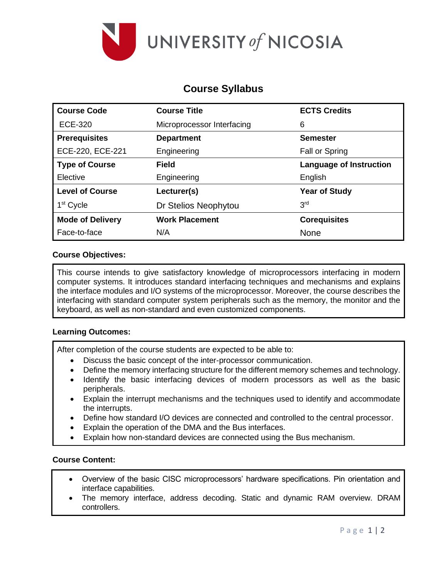

# **Course Syllabus**

| <b>Course Code</b>      | <b>Course Title</b>        | <b>ECTS Credits</b>            |  |  |
|-------------------------|----------------------------|--------------------------------|--|--|
| <b>ECE-320</b>          | Microprocessor Interfacing | 6                              |  |  |
| <b>Prerequisites</b>    | <b>Department</b>          | <b>Semester</b>                |  |  |
| ECE-220, ECE-221        | Engineering                | Fall or Spring                 |  |  |
| <b>Type of Course</b>   | Field                      | <b>Language of Instruction</b> |  |  |
| Elective                | Engineering                | English                        |  |  |
| <b>Level of Course</b>  | Lecturer(s)                | <b>Year of Study</b>           |  |  |
| 1 <sup>st</sup> Cycle   | Dr Stelios Neophytou       | 3 <sup>rd</sup>                |  |  |
| <b>Mode of Delivery</b> | <b>Work Placement</b>      | <b>Corequisites</b>            |  |  |
| Face-to-face            | N/A                        | <b>None</b>                    |  |  |

## **Course Objectives:**

This course intends to give satisfactory knowledge of microprocessors interfacing in modern computer systems. It introduces standard interfacing techniques and mechanisms and explains the interface modules and I/O systems of the microprocessor. Moreover, the course describes the interfacing with standard computer system peripherals such as the memory, the monitor and the keyboard, as well as non-standard and even customized components.

## **Learning Outcomes:**

After completion of the course students are expected to be able to:

- Discuss the basic concept of the inter-processor communication.
- Define the memory interfacing structure for the different memory schemes and technology.
- Identify the basic interfacing devices of modern processors as well as the basic peripherals.
- Explain the interrupt mechanisms and the techniques used to identify and accommodate the interrupts.
- Define how standard I/O devices are connected and controlled to the central processor.
- Explain the operation of the DMA and the Bus interfaces.
- Explain how non-standard devices are connected using the Bus mechanism.

## **Course Content:**

- Overview of the basic CISC microprocessors' hardware specifications. Pin orientation and interface capabilities.
- The memory interface, address decoding. Static and dynamic RAM overview. DRAM controllers.